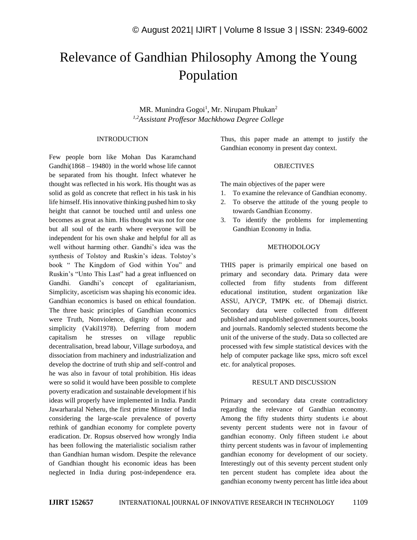# Relevance of Gandhian Philosophy Among the Young Population

MR. Munindra Gogoi<sup>1</sup>, Mr. Nirupam Phukan<sup>2</sup> *1,2Assistant Proffesor Machkhowa Degree College*

#### INTRODUCTION

Few people born like Mohan Das Karamchand Gandhi(1868 – 19480) in the world whose life cannot be separated from his thought. Infect whatever he thought was reflected in his work. His thought was as solid as gold as concrete that reflect in his task in his life himself. His innovative thinking pushed him to sky height that cannot be touched until and unless one becomes as great as him. His thought was not for one but all soul of the earth where everyone will be independent for his own shake and helpful for all as well without harming other. Gandhi's idea was the synthesis of Tolstoy and Ruskin's ideas. Tolstoy's book " The Kingdom of God within You" and Ruskin's "Unto This Last" had a great influenced on Gandhi. Gandhi's concept of egalitarianism, Simplicity, asceticism was shaping his economic idea. Gandhian economics is based on ethical foundation. The three basic principles of Gandhian economics were Truth, Nonviolence, dignity of labour and simplicity (Vakil1978). Deferring from modern capitalism he stresses on village republic decentralisation, bread labour, Village surbodoya, and dissociation from machinery and industrialization and develop the doctrine of truth ship and self-control and he was also in favour of total prohibition. His ideas were so solid it would have been possible to complete poverty eradication and sustainable development if his ideas will properly have implemented in India. Pandit Jawarharalal Neheru, the first prime Minster of India considering the large-scale prevalence of poverty rethink of gandhian economy for complete poverty eradication. Dr. Ropsus observed how wrongly India has been following the materialistic socialism rather than Gandhian human wisdom. Despite the relevance of Gandhian thought his economic ideas has been neglected in India during post-independence era.

Thus, this paper made an attempt to justify the Gandhian economy in present day context.

#### **OBJECTIVES**

The main objectives of the paper were

- 1. To examine the relevance of Gandhian economy.
- 2. To observe the attitude of the young people to towards Gandhian Economy.
- 3. To identify the problems for implementing Gandhian Economy in India.

#### METHODOLOGY

THIS paper is primarily empirical one based on primary and secondary data. Primary data were collected from fifty students from different educational institution, student organization like ASSU, AJYCP, TMPK etc. of Dhemaji district. Secondary data were collected from different published and unpublished government sources, books and journals. Randomly selected students become the unit of the universe of the study. Data so collected are processed with few simple statistical devices with the help of computer package like spss, micro soft excel etc. for analytical proposes.

#### RESULT AND DISCUSSION

Primary and secondary data create contradictory regarding the relevance of Gandhian economy. Among the fifty students thirty students i.e about seventy percent students were not in favour of gandhian economy. Only fifteen student i.e about thirty percent students was in favour of implementing gandhian economy for development of our society. Interestingly out of this seventy percent student only ten percent student has complete idea about the gandhian economy twenty percent has little idea about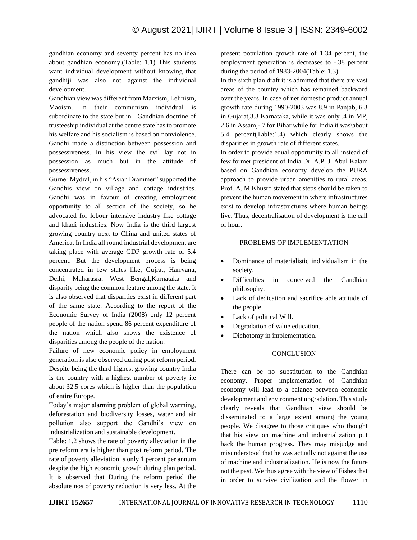gandhian economy and seventy percent has no idea about gandhian economy.(Table: 1.1) This students want individual development without knowing that gandhiji was also not against the individual development.

Gandhian view was different from Marxism, Lelinism, Maoism. In their communism individual is subordinate to the state but in Gandhian doctrine of trusteeship individual at the centre state has to promote his welfare and his socialism is based on nonviolence. Gandhi made a distinction between possession and possessiveness. In his view the evil lay not in possession as much but in the attitude of possessiveness.

Gurner Mydral, in his "Asian Drammer" supported the Gandhis view on village and cottage industries. Gandhi was in favour of creating employment opportunity to all section of the society, so he advocated for lobour intensive industry like cottage and khadi industries. Now India is the third largest growing country next to China and united states of America. In India all round industrial development are taking place with average GDP growth rate of 5.4 percent. But the development process is being concentrated in few states like, Gujrat, Harryana, Delhi, Maharasra, West Bengal,Karnataka and disparity being the common feature among the state. It is also observed that disparities exist in different part of the same state. According to the report of the Economic Survey of India (2008) only 12 percent people of the nation spend 86 percent expenditure of the nation which also shows the existence of disparities among the people of the nation.

Failure of new economic policy in employment generation is also observed during post reform period. Despite being the third highest growing country India is the country with a highest number of poverty i.e about 32.5 cores which is higher than the population of entire Europe.

Today's major alarming problem of global warming, deforestation and biodiversity losses, water and air pollution also support the Gandhi's view on industrialization and sustainable development.

Table: 1.2 shows the rate of poverty alleviation in the pre reform era is higher than post reform period. The rate of poverty alleviation is only 1 percent per annum despite the high economic growth during plan period. It is observed that During the reform period the absolute nos of poverty reduction is very less. At the present population growth rate of 1.34 percent, the employment generation is decreases to -.38 percent during the period of 1983-2004(Table: 1.3).

In the sixth plan draft it is admitted that there are vast areas of the country which has remained backward over the years. In case of net domestic product annual growth rate during 1990-2003 was 8.9 in Panjab, 6.3 in Gujarat,3.3 Karnataka, while it was only .4 in MP, 2.6 in Assam,-.7 for Bihar while for India it was\about 5.4 percent(Table:1.4) which clearly shows the disparities in growth rate of different states.

In order to provide equal opportunity to all instead of few former president of India Dr. A.P. J. Abul Kalam based on Gandhian economy develop the PURA approach to provide urban amenities to rural areas. Prof. A. M Khusro stated that steps should be taken to prevent the human movement in where infrastructures exist to develop infrastructures where human beings live. Thus, decentralisation of development is the call of hour.

# PROBLEMS OF IMPLEMENTATION

- Dominance of materialistic individualism in the society.
- Difficulties in conceived the Gandhian philosophy.
- Lack of dedication and sacrifice able attitude of the people.
- Lack of political Will.
- Degradation of value education.
- Dichotomy in implementation.

# **CONCLUSION**

There can be no substitution to the Gandhian economy. Proper implementation of Gandhian economy will lead to a balance between economic development and environment upgradation. This study clearly reveals that Gandhian view should be disseminated to a large extent among the young people. We disagree to those critiques who thought that his view on machine and industrialization put back the human progress. They may misjudge and misunderstood that he was actually not against the use of machine and industrialization. He is now the future not the past. We thus agree with the view of Fishes that in order to survive civilization and the flower in